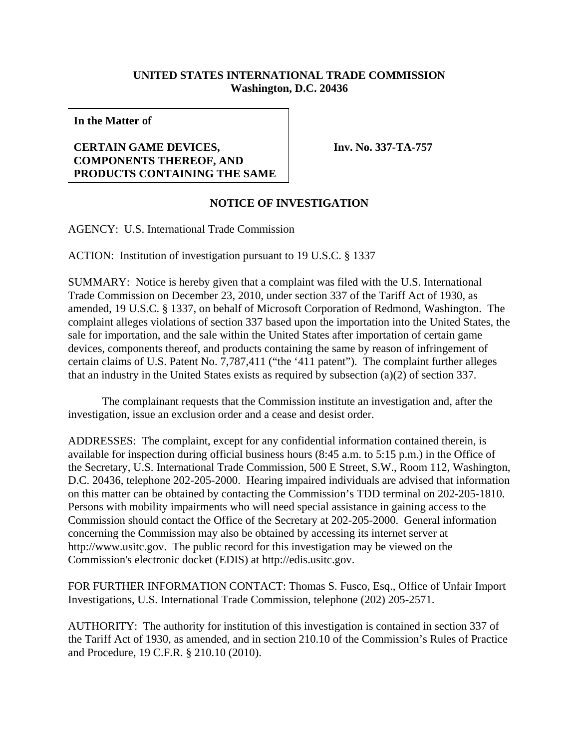## **UNITED STATES INTERNATIONAL TRADE COMMISSION Washington, D.C. 20436**

**In the Matter of**

## **CERTAIN GAME DEVICES, COMPONENTS THEREOF, AND PRODUCTS CONTAINING THE SAME**

**Inv. No. 337-TA-757**

## **NOTICE OF INVESTIGATION**

AGENCY: U.S. International Trade Commission

ACTION: Institution of investigation pursuant to 19 U.S.C. § 1337

SUMMARY: Notice is hereby given that a complaint was filed with the U.S. International Trade Commission on December 23, 2010, under section 337 of the Tariff Act of 1930, as amended, 19 U.S.C. § 1337, on behalf of Microsoft Corporation of Redmond, Washington. The complaint alleges violations of section 337 based upon the importation into the United States, the sale for importation, and the sale within the United States after importation of certain game devices, components thereof, and products containing the same by reason of infringement of certain claims of U.S. Patent No. 7,787,411 ("the '411 patent"). The complaint further alleges that an industry in the United States exists as required by subsection (a)(2) of section 337.

The complainant requests that the Commission institute an investigation and, after the investigation, issue an exclusion order and a cease and desist order.

ADDRESSES: The complaint, except for any confidential information contained therein, is available for inspection during official business hours (8:45 a.m. to 5:15 p.m.) in the Office of the Secretary, U.S. International Trade Commission, 500 E Street, S.W., Room 112, Washington, D.C. 20436, telephone 202-205-2000. Hearing impaired individuals are advised that information on this matter can be obtained by contacting the Commission's TDD terminal on 202-205-1810. Persons with mobility impairments who will need special assistance in gaining access to the Commission should contact the Office of the Secretary at 202-205-2000. General information concerning the Commission may also be obtained by accessing its internet server at http://www.usitc.gov. The public record for this investigation may be viewed on the Commission's electronic docket (EDIS) at http://edis.usitc.gov.

FOR FURTHER INFORMATION CONTACT: Thomas S. Fusco, Esq., Office of Unfair Import Investigations, U.S. International Trade Commission, telephone (202) 205-2571.

AUTHORITY: The authority for institution of this investigation is contained in section 337 of the Tariff Act of 1930, as amended, and in section 210.10 of the Commission's Rules of Practice and Procedure, 19 C.F.R. § 210.10 (2010).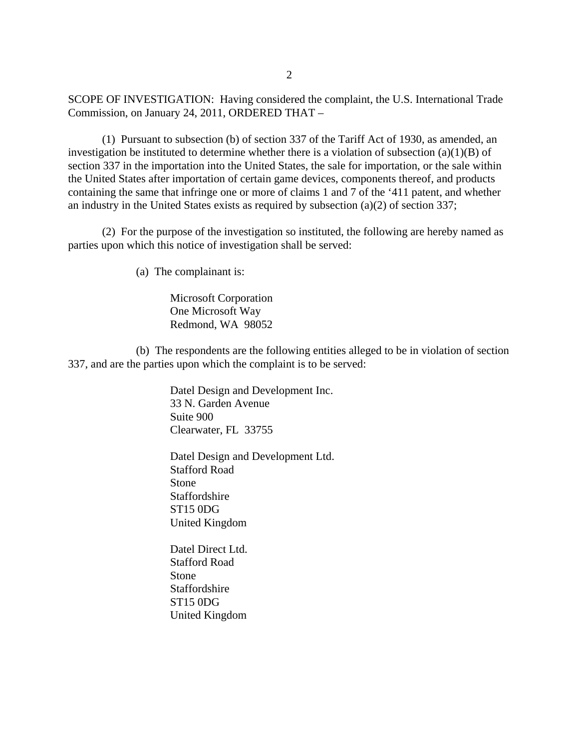SCOPE OF INVESTIGATION: Having considered the complaint, the U.S. International Trade Commission, on January 24, 2011, ORDERED THAT –

(1) Pursuant to subsection (b) of section 337 of the Tariff Act of 1930, as amended, an investigation be instituted to determine whether there is a violation of subsection  $(a)(1)(B)$  of section 337 in the importation into the United States, the sale for importation, or the sale within the United States after importation of certain game devices, components thereof, and products containing the same that infringe one or more of claims 1 and 7 of the '411 patent, and whether an industry in the United States exists as required by subsection (a)(2) of section 337;

(2) For the purpose of the investigation so instituted, the following are hereby named as parties upon which this notice of investigation shall be served:

(a) The complainant is:

Microsoft Corporation One Microsoft Way Redmond, WA 98052

(b) The respondents are the following entities alleged to be in violation of section 337, and are the parties upon which the complaint is to be served:

> Datel Design and Development Inc. 33 N. Garden Avenue Suite 900 Clearwater, FL 33755

> Datel Design and Development Ltd. Stafford Road Stone Staffordshire ST15 0DG United Kingdom

Datel Direct Ltd. Stafford Road Stone Staffordshire ST15 0DG United Kingdom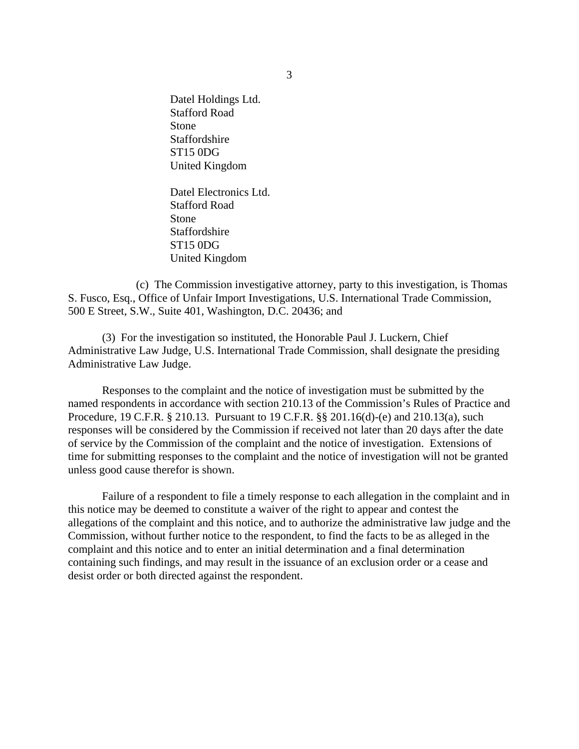Datel Holdings Ltd. Stafford Road Stone Staffordshire ST15 0DG United Kingdom

Datel Electronics Ltd. Stafford Road Stone Staffordshire ST15 0DG United Kingdom

(c) The Commission investigative attorney, party to this investigation, is Thomas S. Fusco, Esq., Office of Unfair Import Investigations, U.S. International Trade Commission, 500 E Street, S.W., Suite 401, Washington, D.C. 20436; and

(3) For the investigation so instituted, the Honorable Paul J. Luckern, Chief Administrative Law Judge, U.S. International Trade Commission, shall designate the presiding Administrative Law Judge.

Responses to the complaint and the notice of investigation must be submitted by the named respondents in accordance with section 210.13 of the Commission's Rules of Practice and Procedure, 19 C.F.R. § 210.13. Pursuant to 19 C.F.R. §§ 201.16(d)-(e) and 210.13(a), such responses will be considered by the Commission if received not later than 20 days after the date of service by the Commission of the complaint and the notice of investigation. Extensions of time for submitting responses to the complaint and the notice of investigation will not be granted unless good cause therefor is shown.

Failure of a respondent to file a timely response to each allegation in the complaint and in this notice may be deemed to constitute a waiver of the right to appear and contest the allegations of the complaint and this notice, and to authorize the administrative law judge and the Commission, without further notice to the respondent, to find the facts to be as alleged in the complaint and this notice and to enter an initial determination and a final determination containing such findings, and may result in the issuance of an exclusion order or a cease and desist order or both directed against the respondent.